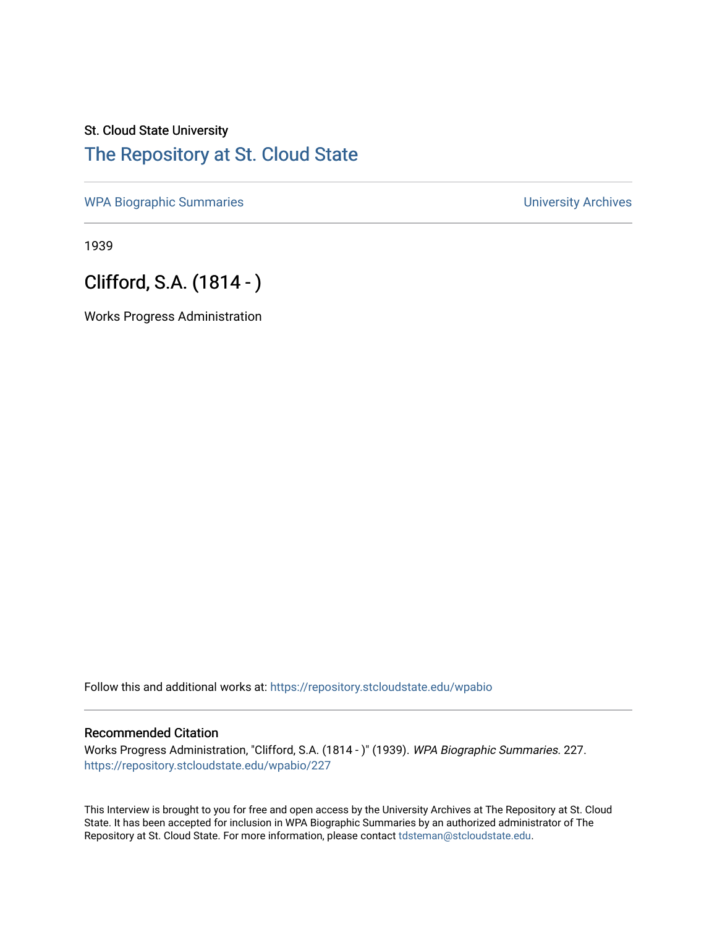# St. Cloud State University [The Repository at St. Cloud State](https://repository.stcloudstate.edu/)

[WPA Biographic Summaries](https://repository.stcloudstate.edu/wpabio) **WPA Biographic Summaries University Archives** 

1939

## Clifford, S.A. (1814 - )

Works Progress Administration

Follow this and additional works at: [https://repository.stcloudstate.edu/wpabio](https://repository.stcloudstate.edu/wpabio?utm_source=repository.stcloudstate.edu%2Fwpabio%2F227&utm_medium=PDF&utm_campaign=PDFCoverPages) 

#### Recommended Citation

Works Progress Administration, "Clifford, S.A. (1814 - )" (1939). WPA Biographic Summaries. 227. [https://repository.stcloudstate.edu/wpabio/227](https://repository.stcloudstate.edu/wpabio/227?utm_source=repository.stcloudstate.edu%2Fwpabio%2F227&utm_medium=PDF&utm_campaign=PDFCoverPages) 

This Interview is brought to you for free and open access by the University Archives at The Repository at St. Cloud State. It has been accepted for inclusion in WPA Biographic Summaries by an authorized administrator of The Repository at St. Cloud State. For more information, please contact [tdsteman@stcloudstate.edu.](mailto:tdsteman@stcloudstate.edu)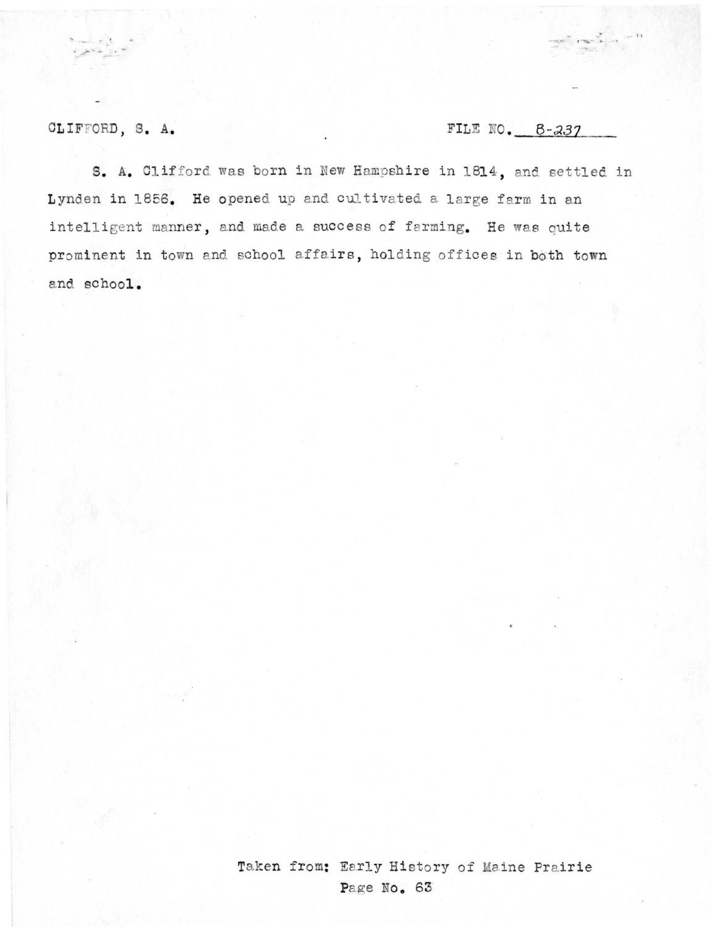CLIFFORD, S. A.

## FILE NO.  $B-237$

S. A. Clifford was born in New Hampshire in 1814, and settled in Lynden in 1856. He opened up and cultivated a large farm in an intelligent manner, and made a success of farming. He was quite prominent in town and school affairs, holding offices in both town and school.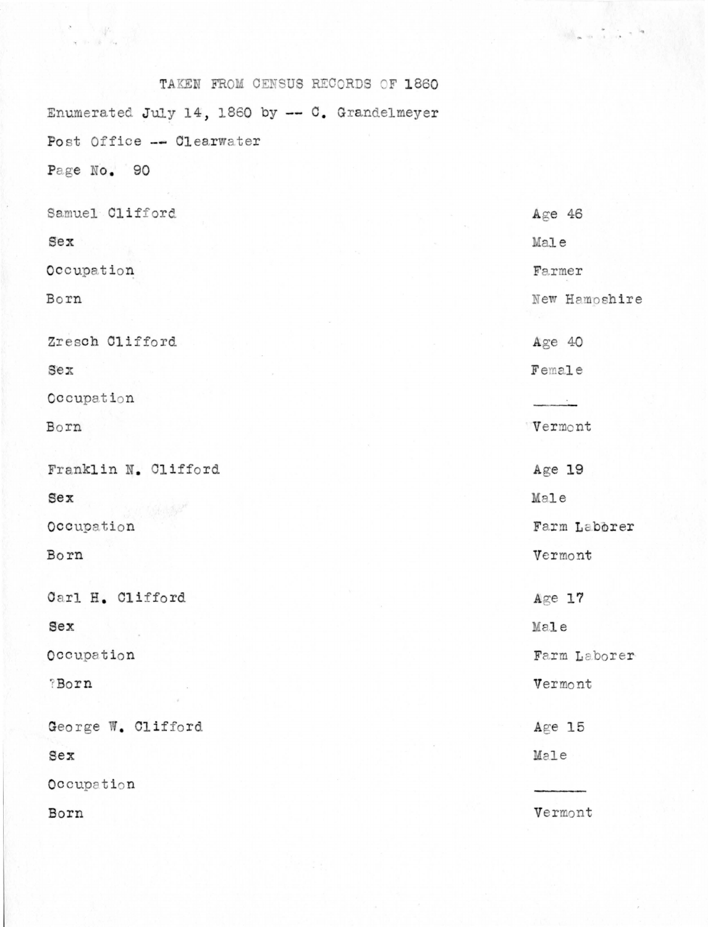| TAKEN FROM CENSUS RECORDS OF 1860              |               |
|------------------------------------------------|---------------|
| Enumerated July 14, 1860 by -- C. Grandelmeyer |               |
| Post Office -- Clearwater                      |               |
| Page No. 90                                    |               |
| Samuel Clifford                                | Age $46$      |
| $sex$                                          | Male          |
| Occupation                                     | Farmer        |
| Born                                           | New Hamoshire |
| Zresch Clifford                                | Age 40        |
| $sex$                                          | Female        |
| Occupation                                     |               |
| Born                                           | Vermont       |
| Franklin N. Clifford                           | Age 19        |
| $sex$                                          | Male          |
| Occupation                                     | Farm Laborer  |
| Born                                           | Vermont       |
| Carl H. Clifford                               | $Age$ 17      |
| Sex                                            | Male          |
| Occupation                                     | Farm Laborer  |
| ?Born                                          | Vermont       |
| George W. Clifford                             | $Agee$ 15     |
| $sex$                                          | Male          |
| Occupation                                     |               |
| Born                                           | Vermont       |

 $\mathcal{O}(\mathcal{A}_{\mathbf{m}})$  as

 $\label{eq:Ricci} \begin{array}{c} \bullet \\ \bullet \\ \bullet \end{array} \rightarrow \begin{array}{c} \left\langle \mathbf{p} \right\rangle \\ \left\langle \mathbf{p} \right\rangle \\ \left\langle \mathbf{p} \right\rangle \\ \left\langle \mathbf{p} \right\rangle \\ \left\langle \mathbf{p} \right\rangle \\ \left\langle \mathbf{p} \right\rangle \\ \left\langle \mathbf{p} \right\rangle \\ \left\langle \mathbf{p} \right\rangle \\ \left\langle \mathbf{p} \right\rangle \\ \left\langle \mathbf{p} \right\rangle \\ \left\langle \mathbf{p} \right\rangle \\ \left\langle \mathbf{p} \right\rangle \\ \left$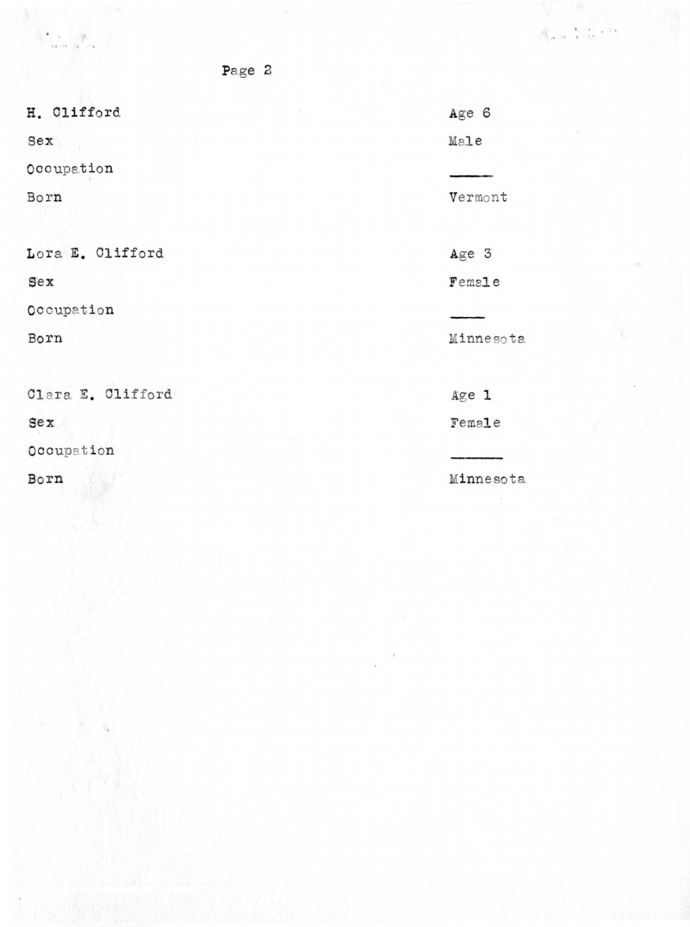H. Clifford

 $\begin{picture}(180,10) \put(0,0){\vector(1,0){10}} \put(15,0){\vector(1,0){10}} \put(15,0){\vector(1,0){10}} \put(15,0){\vector(1,0){10}} \put(15,0){\vector(1,0){10}} \put(15,0){\vector(1,0){10}} \put(15,0){\vector(1,0){10}} \put(15,0){\vector(1,0){10}} \put(15,0){\vector(1,0){10}} \put(15,0){\vector(1,0){10}} \put(15,0){\vector(1,0){10}} \put(15,0){\vector($ 

 $<sub>sex</sub>$ </sub>

Occupation

Born

Lora E. Clifford

### $<sub>sex</sub>$ </sub>

Occupation

Born

Clara E. Clifford

 $sex$ 

Occupation

Born

Page 2

Age 6 Male Vermont Age  $3$ 

 $\mathcal{N}_{\mathbf{p},\mathbf{m}} \xrightarrow{\mathbf{p}} \mathcal{N}_{\mathbf{Q}} \times \mathcal{N}$ 

Female

Minnesota

Age 1

Female

Minnesota